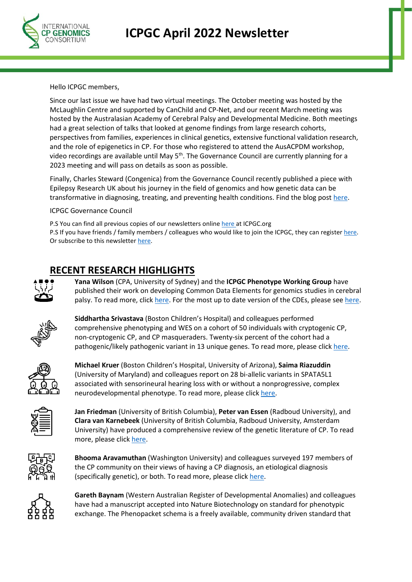

Hello ICPGC members,

Since our last issue we have had two virtual meetings. The October meeting was hosted by the McLaughlin Centre and supported by CanChild and CP-Net, and our recent March meeting was hosted by the Australasian Academy of Cerebral Palsy and Developmental Medicine. Both meetings had a great selection of talks that looked at genome findings from large research cohorts, perspectives from families, experiences in clinical genetics, extensive functional validation research, and the role of epigenetics in CP. For those who registered to attend the AusACPDM workshop, video recordings are available until May 5<sup>th</sup>. The Governance Council are currently planning for a 2023 meeting and will pass on details as soon as possible.

Finally, Charles Steward (Congenica) from the Governance Council recently published a piece with Epilepsy Research UK about his journey in the field of genomics and how genetic data can be transformative in diagnosing, treating, and preventing health conditions. Find the blog post [here.](https://epilepsyresearch.org.uk/our-research/research-blog/the-promise-of-genomics-data/)

ICPGC Governance Council

P.S You can find all previous copies of our newsletters onlin[e here a](https://icpgc.org/news/)t ICPGC.org P.S If you have friends / family members / colleagues who would like to join the ICPGC, they can register [here.](https://redcap.sydney.edu.au/surveys/?s=YARNN83AYHH4T4AH) Or subscribe to this newsletter [here.](https://contact.cerebralpalsy.org.au/t/j-l-zllskt-ihujsdtdj-y/)

## **RECENT RESEARCH HIGHLIGHTS**



**Yana Wilson** (CPA, University of Sydney) and the **ICPGC Phenotype Working Group** have published their work on developing Common Data Elements for genomics studies in cerebral palsy. To read more, clic[k here.](https://pubmed.ncbi.nlm.nih.gov/35441707/) For the most up to date version of the CDEs, please se[e here.](https://icpgc.org/wp-content/uploads/2022/04/ICPGC_CDEs_122-variables_03-2022.pdf)



**Siddhartha Srivastava** (Boston Children's Hospital) and colleagues performed comprehensive phenotyping and WES on a cohort of 50 individuals with cryptogenic CP, non-cryptogenic CP, and CP masqueraders. Twenty-six percent of the cohort had a pathogenic/likely pathogenic variant in 13 unique genes. To read more, please click [here.](https://pubmed.ncbi.nlm.nih.gov/35076175/)



**Michael Kruer** (Boston Children's Hospital, University of Arizona), **Saima Riazuddin** (University of Maryland) and colleagues report on 28 bi-allelic variants in SPATA5L1 associated with sensorineural hearing loss with or without a nonprogressive, complex neurodevelopmental phenotype. To read more, please click [here.](https://pubmed.ncbi.nlm.nih.gov/34626583/)



**Jan Friedman** (University of British Columbia), **Peter van Essen** (Radboud University), and **Clara van Karnebeek** (University of British Columbia, Radboud University, Amsterdam University) have produced a comprehensive review of the genetic literature of CP. To read more, please click [here.](https://pubmed.ncbi.nlm.nih.gov/34872807/)



**Bhooma Aravamuthan** (Washington University) and colleagues surveyed 197 members of the CP community on their views of having a CP diagnosis, an etiological diagnosis (specifically genetic), or both. To read more, please click [here.](https://pubmed.ncbi.nlm.nih.gov/35092695/)



**Gareth Baynam** (Western Australian Register of Developmental Anomalies) and colleagues have had a manuscript accepted into Nature Biotechnology on standard for phenotypic exchange. The Phenopacket schema is a freely available, community driven standard that